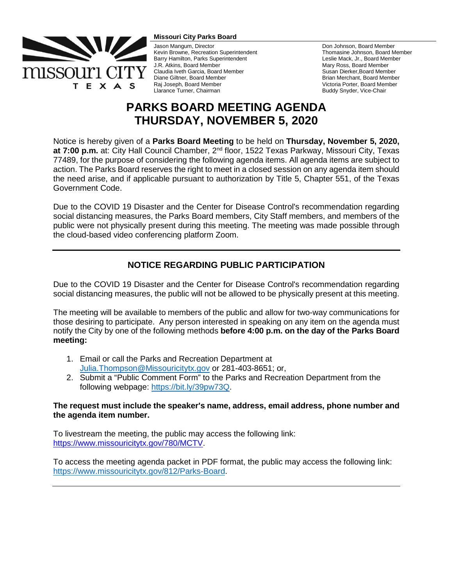

#### **Missouri City Parks Board**

Jason Mangum, Director Kevin Browne, Recreation Superintendent Barry Hamilton, Parks Superintendent J.R. Atkins, Board Member Claudia Iveth Garcia, Board Member Diane Giltner, Board Member Raj Joseph, Board Member Llarance Turner, Chairman

Don Johnson, Board Member Thomasine Johnson, Board Member Leslie Mack, Jr., Board Member Mary Ross, Board Member Susan Dierker,Board Member Brian Merchant, Board Member Victoria Porter, Board Member Buddy Snyder, Vice-Chair

# **PARKS BOARD MEETING AGENDA THURSDAY, NOVEMBER 5, 2020**

Notice is hereby given of a **Parks Board Meeting** to be held on **Thursday, November 5, 2020,**  at 7:00 p.m. at: City Hall Council Chamber, 2<sup>nd</sup> floor, 1522 Texas Parkway, Missouri City, Texas 77489, for the purpose of considering the following agenda items. All agenda items are subject to action. The Parks Board reserves the right to meet in a closed session on any agenda item should the need arise, and if applicable pursuant to authorization by Title 5, Chapter 551, of the Texas Government Code.

Due to the COVID 19 Disaster and the Center for Disease Control's recommendation regarding social distancing measures, the Parks Board members, City Staff members, and members of the public were not physically present during this meeting. The meeting was made possible through the cloud-based video conferencing platform Zoom.

## **NOTICE REGARDING PUBLIC PARTICIPATION**

Due to the COVID 19 Disaster and the Center for Disease Control's recommendation regarding social distancing measures, the public will not be allowed to be physically present at this meeting.

The meeting will be available to members of the public and allow for two-way communications for those desiring to participate. Any person interested in speaking on any item on the agenda must notify the City by one of the following methods **before 4:00 p.m. on the day of the Parks Board meeting:** 

- 1. Email or call the Parks and Recreation Department at [Julia.Thompson@Missouricitytx.gov](mailto:Julia.Thompson@Missouricitytx.gov) or 281-403-8651; or,
- 2. Submit a "Public Comment Form" to the Parks and Recreation Department from the following webpage: [https://bit.ly/39pw73Q.](https://bit.ly/39pw73Q)

## **The request must include the speaker's name, address, email address, phone number and the agenda item number.**

To livestream the meeting, the public may access the following link: [https://www.missouricitytx.gov/780/MCTV.](https://www.missouricitytx.gov/780/MCTV)

To access the meeting agenda packet in PDF format, the public may access the following link: [https://www.missouricitytx.gov/812/Parks-Board.](https://www.missouricitytx.gov/812/Parks-Board)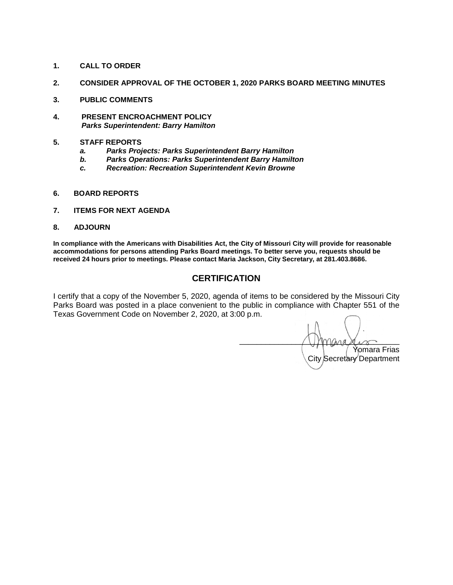- **1. CALL TO ORDER**
- **2. CONSIDER APPROVAL OF THE OCTOBER 1, 2020 PARKS BOARD MEETING MINUTES**
- **3. PUBLIC COMMENTS**
- **4. PRESENT ENCROACHMENT POLICY** *Parks Superintendent: Barry Hamilton*
- **5. STAFF REPORTS**
	- **Parks Projects: Parks Superintendent Barry Hamilton**
	- *b. Parks Operations: Parks Superintendent Barry Hamilton*
	- *c. Recreation: Recreation Superintendent Kevin Browne*
- **6. BOARD REPORTS**
- **7. ITEMS FOR NEXT AGENDA**
- **8. ADJOURN**

**In compliance with the Americans with Disabilities Act, the City of Missouri City will provide for reasonable accommodations for persons attending Parks Board meetings. To better serve you, requests should be received 24 hours prior to meetings. Please contact Maria Jackson, City Secretary, at 281.403.8686.**

## **CERTIFICATION**

I certify that a copy of the November 5, 2020, agenda of items to be considered by the Missouri City Parks Board was posted in a place convenient to the public in compliance with Chapter 551 of the Texas Government Code on November 2, 2020, at 3:00 p.m.

 $\bigwedge$  marades Yomara Frias City Secretary Department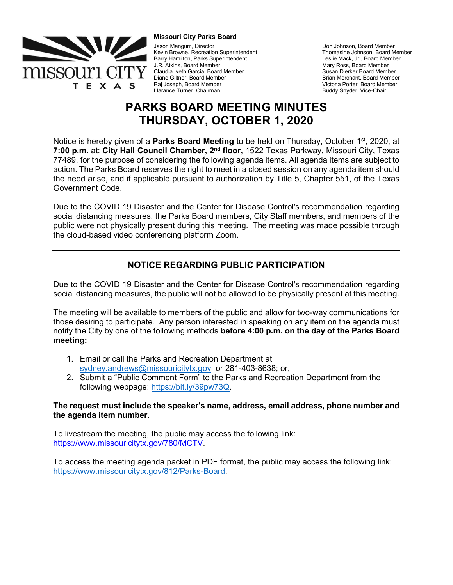

**Missouri City Parks Board** 

Jason Mangum, Director Kevin Browne, Recreation Superintendent Barry Hamilton, Parks Superintendent J.R. Atkins, Board Member Claudia Iveth Garcia, Board Member Diane Giltner, Board Member Raj Joseph, Board Member Llarance Turner, Chairman

Don Johnson, Board Member Thomasine Johnson, Board Member Leslie Mack, Jr., Board Member Mary Ross, Board Member Susan Dierker,Board Member Brian Merchant, Board Member Victoria Porter, Board Member Buddy Snyder, Vice-Chair

# **PARKS BOARD MEETING MINUTES THURSDAY, OCTOBER 1, 2020**

Notice is hereby given of a **Parks Board Meeting** to be held on Thursday, October 1<sup>st</sup>, 2020, at **7:00 p.m.** at: **City Hall Council Chamber, 2nd floor,** 1522 Texas Parkway, Missouri City, Texas 77489, for the purpose of considering the following agenda items. All agenda items are subject to action. The Parks Board reserves the right to meet in a closed session on any agenda item should the need arise, and if applicable pursuant to authorization by Title 5, Chapter 551, of the Texas Government Code.

Due to the COVID 19 Disaster and the Center for Disease Control's recommendation regarding social distancing measures, the Parks Board members, City Staff members, and members of the public were not physically present during this meeting. The meeting was made possible through the cloud-based video conferencing platform Zoom.

## **NOTICE REGARDING PUBLIC PARTICIPATION**

Due to the COVID 19 Disaster and the Center for Disease Control's recommendation regarding social distancing measures, the public will not be allowed to be physically present at this meeting.

The meeting will be available to members of the public and allow for two-way communications for those desiring to participate. Any person interested in speaking on any item on the agenda must notify the City by one of the following methods **before 4:00 p.m. on the day of the Parks Board meeting:** 

- 1. Email or call the Parks and Recreation Department at [sydney.andrews@missouricitytx.gov](mailto:sydney.andrews@missouricitytx.gov) or 281-403-8638; or,
- 2. Submit a "Public Comment Form" to the Parks and Recreation Department from the following webpage: [https://bit.ly/39pw73Q.](https://bit.ly/39pw73Q)

## **The request must include the speaker's name, address, email address, phone number and the agenda item number.**

To livestream the meeting, the public may access the following link: [https://www.missouricitytx.gov/780/MCTV.](https://www.missouricitytx.gov/780/MCTV)

To access the meeting agenda packet in PDF format, the public may access the following link: [https://www.missouricitytx.gov/812/Parks-Board.](https://www.missouricitytx.gov/812/Parks-Board)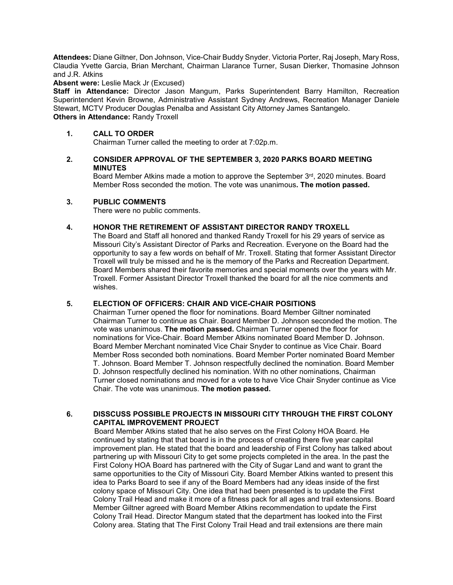**Attendees:** Diane Giltner, Don Johnson, Vice-Chair Buddy Snyder, Victoria Porter, Raj Joseph, Mary Ross, Claudia Yvette Garcia, Brian Merchant, Chairman Llarance Turner, Susan Dierker, Thomasine Johnson and J.R. Atkins

#### **Absent were:** Leslie Mack Jr (Excused)

**Staff in Attendance:** Director Jason Mangum, Parks Superintendent Barry Hamilton, Recreation Superintendent Kevin Browne, Administrative Assistant Sydney Andrews, Recreation Manager Daniele Stewart, MCTV Producer Douglas Penalba and Assistant City Attorney James Santangelo. **Others in Attendance:** Randy Troxell

## **1. CALL TO ORDER**

Chairman Turner called the meeting to order at 7:02p.m.

## **2. CONSIDER APPROVAL OF THE SEPTEMBER 3, 2020 PARKS BOARD MEETING MINUTES**

Board Member Atkins made a motion to approve the September 3<sup>rd</sup>, 2020 minutes. Board Member Ross seconded the motion. The vote was unanimous**. The motion passed.**

## **3. PUBLIC COMMENTS**

There were no public comments.

## **4. HONOR THE RETIREMENT OF ASSISTANT DIRECTOR RANDY TROXELL**

The Board and Staff all honored and thanked Randy Troxell for his 29 years of service as Missouri City's Assistant Director of Parks and Recreation. Everyone on the Board had the opportunity to say a few words on behalf of Mr. Troxell. Stating that former Assistant Director Troxell will truly be missed and he is the memory of the Parks and Recreation Department. Board Members shared their favorite memories and special moments over the years with Mr. Troxell. Former Assistant Director Troxell thanked the board for all the nice comments and wishes.

## **5. ELECTION OF OFFICERS: CHAIR AND VICE-CHAIR POSITIONS**

Chairman Turner opened the floor for nominations. Board Member Giltner nominated Chairman Turner to continue as Chair. Board Member D. Johnson seconded the motion. The vote was unanimous. **The motion passed.** Chairman Turner opened the floor for nominations for Vice-Chair. Board Member Atkins nominated Board Member D. Johnson. Board Member Merchant nominated Vice Chair Snyder to continue as Vice Chair. Board Member Ross seconded both nominations. Board Member Porter nominated Board Member T. Johnson. Board Member T. Johnson respectfully declined the nomination. Board Member D. Johnson respectfully declined his nomination. With no other nominations, Chairman Turner closed nominations and moved for a vote to have Vice Chair Snyder continue as Vice Chair. The vote was unanimous. **The motion passed.**

## **6. DISSCUSS POSSIBLE PROJECTS IN MISSOURI CITY THROUGH THE FIRST COLONY CAPITAL IMPROVEMENT PROJECT**

Board Member Atkins stated that he also serves on the First Colony HOA Board. He continued by stating that that board is in the process of creating there five year capital improvement plan. He stated that the board and leadership of First Colony has talked about partnering up with Missouri City to get some projects completed in the area. In the past the First Colony HOA Board has partnered with the City of Sugar Land and want to grant the same opportunities to the City of Missouri City. Board Member Atkins wanted to present this idea to Parks Board to see if any of the Board Members had any ideas inside of the first colony space of Missouri City. One idea that had been presented is to update the First Colony Trail Head and make it more of a fitness pack for all ages and trail extensions. Board Member Giltner agreed with Board Member Atkins recommendation to update the First Colony Trail Head. Director Mangum stated that the department has looked into the First Colony area. Stating that The First Colony Trail Head and trail extensions are there main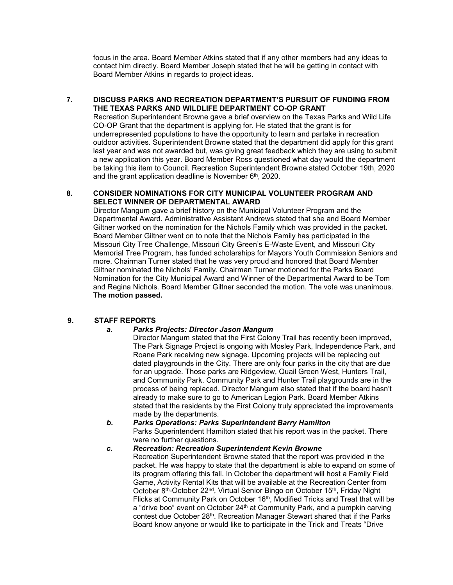focus in the area. Board Member Atkins stated that if any other members had any ideas to contact him directly. Board Member Joseph stated that he will be getting in contact with Board Member Atkins in regards to project ideas.

#### **7. DISCUSS PARKS AND RECREATION DEPARTMENT'S PURSUIT OF FUNDING FROM THE TEXAS PARKS AND WILDLIFE DEPARTMENT CO-OP GRANT**

Recreation Superintendent Browne gave a brief overview on the Texas Parks and Wild Life CO-OP Grant that the department is applying for. He stated that the grant is for underrepresented populations to have the opportunity to learn and partake in recreation outdoor activities. Superintendent Browne stated that the department did apply for this grant last year and was not awarded but, was giving great feedback which they are using to submit a new application this year. Board Member Ross questioned what day would the department be taking this item to Council. Recreation Superintendent Browne stated October 19th, 2020 and the grant application deadline is November  $6<sup>th</sup>$ , 2020.

## **8. CONSIDER NOMINATIONS FOR CITY MUNICIPAL VOLUNTEER PROGRAM AND SELECT WINNER OF DEPARTMENTAL AWARD**

Director Mangum gave a brief history on the Municipal Volunteer Program and the Departmental Award. Administrative Assistant Andrews stated that she and Board Member Giltner worked on the nomination for the Nichols Family which was provided in the packet. Board Member Giltner went on to note that the Nichols Family has participated in the Missouri City Tree Challenge, Missouri City Green's E-Waste Event, and Missouri City Memorial Tree Program, has funded scholarships for Mayors Youth Commission Seniors and more. Chairman Turner stated that he was very proud and honored that Board Member Giltner nominated the Nichols' Family. Chairman Turner motioned for the Parks Board Nomination for the City Municipal Award and Winner of the Departmental Award to be Tom and Regina Nichols. Board Member Giltner seconded the motion. The vote was unanimous. **The motion passed.**

## **9. STAFF REPORTS**

## *a. Parks Projects: Director Jason Mangum*

Director Mangum stated that the First Colony Trail has recently been improved, The Park Signage Project is ongoing with Mosley Park, Independence Park, and Roane Park receiving new signage. Upcoming projects will be replacing out dated playgrounds in the City. There are only four parks in the city that are due for an upgrade. Those parks are Ridgeview, Quail Green West, Hunters Trail, and Community Park. Community Park and Hunter Trail playgrounds are in the process of being replaced. Director Mangum also stated that if the board hasn't already to make sure to go to American Legion Park. Board Member Atkins stated that the residents by the First Colony truly appreciated the improvements made by the departments.

*b. Parks Operations: Parks Superintendent Barry Hamilton* Parks Superintendent Hamilton stated that his report was in the packet. There were no further questions.

*c. Recreation: Recreation Superintendent Kevin Browne* Recreation Superintendent Browne stated that the report was provided in the packet. He was happy to state that the department is able to expand on some of its program offering this fall. In October the department will host a Family Field Game, Activity Rental Kits that will be available at the Recreation Center from October 8<sup>th</sup>-October 22<sup>nd</sup>, Virtual Senior Bingo on October 15<sup>th</sup>, Friday Night Flicks at Community Park on October 16<sup>th</sup>, Modified Tricks and Treat that will be a "drive boo" event on October 24<sup>th</sup> at Community Park, and a pumpkin carving contest due October 28<sup>th</sup>. Recreation Manager Stewart shared that if the Parks Board know anyone or would like to participate in the Trick and Treats "Drive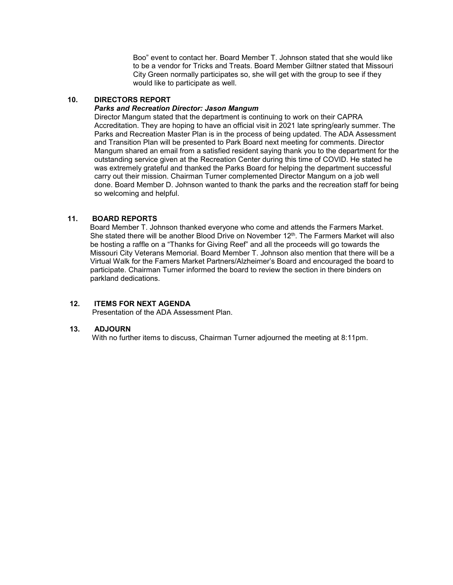Boo" event to contact her. Board Member T. Johnson stated that she would like to be a vendor for Tricks and Treats. Board Member Giltner stated that Missouri City Green normally participates so, she will get with the group to see if they would like to participate as well.

## **10. DIRECTORS REPORT**

#### *Parks and Recreation Director: Jason Mangum*

Director Mangum stated that the department is continuing to work on their CAPRA Accreditation. They are hoping to have an official visit in 2021 late spring/early summer. The Parks and Recreation Master Plan is in the process of being updated. The ADA Assessment and Transition Plan will be presented to Park Board next meeting for comments. Director Mangum shared an email from a satisfied resident saying thank you to the department for the outstanding service given at the Recreation Center during this time of COVID. He stated he was extremely grateful and thanked the Parks Board for helping the department successful carry out their mission. Chairman Turner complemented Director Mangum on a job well done. Board Member D. Johnson wanted to thank the parks and the recreation staff for being so welcoming and helpful.

## **11. BOARD REPORTS**

Board Member T. Johnson thanked everyone who come and attends the Farmers Market. She stated there will be another Blood Drive on November 12<sup>th</sup>. The Farmers Market will also be hosting a raffle on a "Thanks for Giving Reef" and all the proceeds will go towards the Missouri City Veterans Memorial. Board Member T. Johnson also mention that there will be a Virtual Walk for the Famers Market Partners/Alzheimer's Board and encouraged the board to participate. Chairman Turner informed the board to review the section in there binders on parkland dedications.

#### **12. ITEMS FOR NEXT AGENDA**

Presentation of the ADA Assessment Plan.

#### **13. ADJOURN**

With no further items to discuss, Chairman Turner adjourned the meeting at 8:11pm.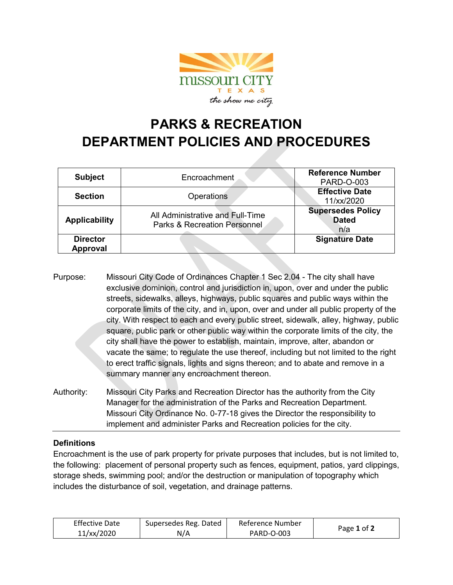

# **PARKS & RECREATION DEPARTMENT POLICIES AND PROCEDURES**

| <b>Subject</b>                     | Encroachment                                                                | <b>Reference Number</b><br><b>PARD-O-003</b>    |
|------------------------------------|-----------------------------------------------------------------------------|-------------------------------------------------|
| <b>Section</b>                     | Operations                                                                  | <b>Effective Date</b><br>11/xx/2020             |
| <b>Applicability</b>               | All Administrative and Full-Time<br><b>Parks &amp; Recreation Personnel</b> | <b>Supersedes Policy</b><br><b>Dated</b><br>n/a |
| <b>Director</b><br><b>Approval</b> |                                                                             | <b>Signature Date</b>                           |

Purpose: Missouri City Code of Ordinances Chapter 1 Sec 2.04 - The city shall have exclusive dominion, control and jurisdiction in, upon, over and under the public streets, sidewalks, alleys, highways, public squares and public ways within the corporate limits of the city, and in, upon, over and under all public property of the city. With respect to each and every public street, sidewalk, alley, highway, public square, public park or other public way within the corporate limits of the city, the city shall have the power to establish, maintain, improve, alter, abandon or vacate the same; to regulate the use thereof, including but not limited to the right to erect traffic signals, lights and signs thereon; and to abate and remove in a summary manner any encroachment thereon.

Authority: Missouri City Parks and Recreation Director has the authority from the City Manager for the administration of the Parks and Recreation Department. Missouri City Ordinance No. 0-77-18 gives the Director the responsibility to implement and administer Parks and Recreation policies for the city.

## **Definitions**

Encroachment is the use of park property for private purposes that includes, but is not limited to, the following: placement of personal property such as fences, equipment, patios, yard clippings, storage sheds, swimming pool; and/or the destruction or manipulation of topography which includes the disturbance of soil, vegetation, and drainage patterns.

| <b>Effective Date</b> | Supersedes Reg. Dated | Reference Number |             |
|-----------------------|-----------------------|------------------|-------------|
| 11/xx/2020            | N/A                   | PARD-0-003       | Page 1 of 2 |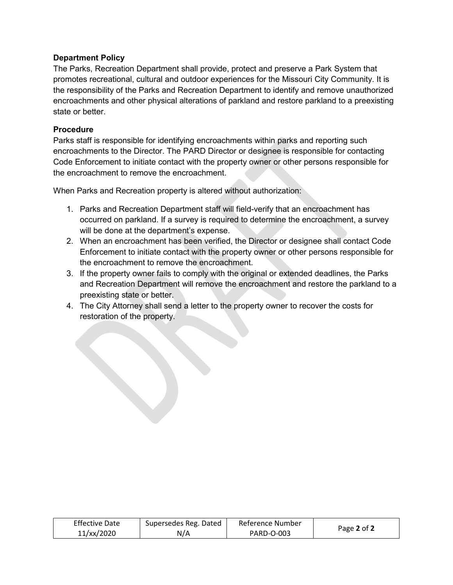## **Department Policy**

The Parks, Recreation Department shall provide, protect and preserve a Park System that promotes recreational, cultural and outdoor experiences for the Missouri City Community. It is the responsibility of the Parks and Recreation Department to identify and remove unauthorized encroachments and other physical alterations of parkland and restore parkland to a preexisting state or better.

## **Procedure**

Parks staff is responsible for identifying encroachments within parks and reporting such encroachments to the Director. The PARD Director or designee is responsible for contacting Code Enforcement to initiate contact with the property owner or other persons responsible for the encroachment to remove the encroachment.

When Parks and Recreation property is altered without authorization:

- 1. Parks and Recreation Department staff will field-verify that an encroachment has occurred on parkland. If a survey is required to determine the encroachment, a survey will be done at the department's expense.
- 2. When an encroachment has been verified, the Director or designee shall contact Code Enforcement to initiate contact with the property owner or other persons responsible for the encroachment to remove the encroachment.
- 3. If the property owner fails to comply with the original or extended deadlines, the Parks and Recreation Department will remove the encroachment and restore the parkland to a preexisting state or better.
- 4. The City Attorney shall send a letter to the property owner to recover the costs for restoration of the property.

| <b>Effective Date</b> | Supersedes Reg. Dated | Reference Number | Page 2 of 2 |
|-----------------------|-----------------------|------------------|-------------|
| 11/xx/2020            | N/A                   | PARD-O-003       |             |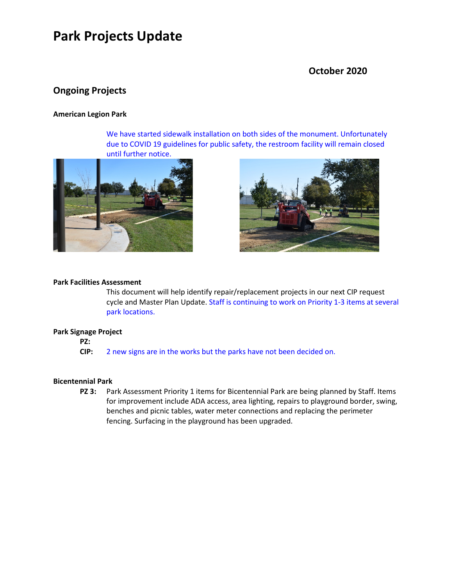# **Park Projects Update**

## **October 2020**

## **Ongoing Projects**

## **American Legion Park**

We have started sidewalk installation on both sides of the monument. Unfortunately due to COVID 19 guidelines for public safety, the restroom facility will remain closed until further notice.





## **Park Facilities Assessment**

This document will help identify repair/replacement projects in our next CIP request cycle and Master Plan Update. Staff is continuing to work on Priority 1-3 items at several park locations.

#### **Park Signage Project**

- **PZ:**
- **CIP:** 2 new signs are in the works but the parks have not been decided on.

#### **Bicentennial Park**

**PZ 3:** Park Assessment Priority 1 items for Bicentennial Park are being planned by Staff. Items for improvement include ADA access, area lighting, repairs to playground border, swing, benches and picnic tables, water meter connections and replacing the perimeter fencing. Surfacing in the playground has been upgraded.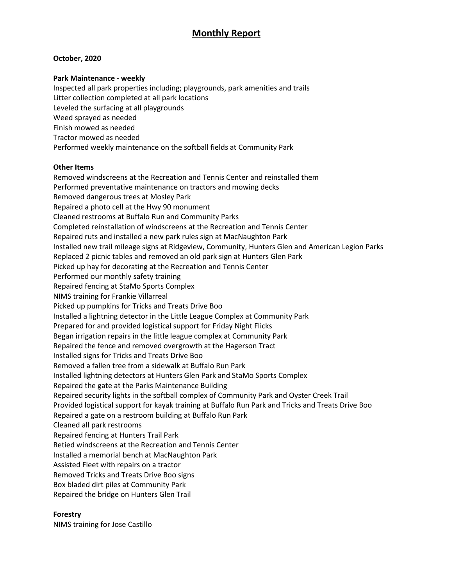# **Monthly Report**

## **October, 2020**

## **Park Maintenance - weekly**

Inspected all park properties including; playgrounds, park amenities and trails Litter collection completed at all park locations Leveled the surfacing at all playgrounds Weed sprayed as needed Finish mowed as needed Tractor mowed as needed Performed weekly maintenance on the softball fields at Community Park

## **Other Items**

Removed windscreens at the Recreation and Tennis Center and reinstalled them Performed preventative maintenance on tractors and mowing decks Removed dangerous trees at Mosley Park Repaired a photo cell at the Hwy 90 monument Cleaned restrooms at Buffalo Run and Community Parks Completed reinstallation of windscreens at the Recreation and Tennis Center Repaired ruts and installed a new park rules sign at MacNaughton Park Installed new trail mileage signs at Ridgeview, Community, Hunters Glen and American Legion Parks Replaced 2 picnic tables and removed an old park sign at Hunters Glen Park Picked up hay for decorating at the Recreation and Tennis Center Performed our monthly safety training Repaired fencing at StaMo Sports Complex NIMS training for Frankie Villarreal Picked up pumpkins for Tricks and Treats Drive Boo Installed a lightning detector in the Little League Complex at Community Park Prepared for and provided logistical support for Friday Night Flicks Began irrigation repairs in the little league complex at Community Park Repaired the fence and removed overgrowth at the Hagerson Tract Installed signs for Tricks and Treats Drive Boo Removed a fallen tree from a sidewalk at Buffalo Run Park Installed lightning detectors at Hunters Glen Park and StaMo Sports Complex Repaired the gate at the Parks Maintenance Building Repaired security lights in the softball complex of Community Park and Oyster Creek Trail Provided logistical support for kayak training at Buffalo Run Park and Tricks and Treats Drive Boo Repaired a gate on a restroom building at Buffalo Run Park Cleaned all park restrooms Repaired fencing at Hunters Trail Park Retied windscreens at the Recreation and Tennis Center Installed a memorial bench at MacNaughton Park Assisted Fleet with repairs on a tractor Removed Tricks and Treats Drive Boo signs Box bladed dirt piles at Community Park Repaired the bridge on Hunters Glen Trail

#### **Forestry**

NIMS training for Jose Castillo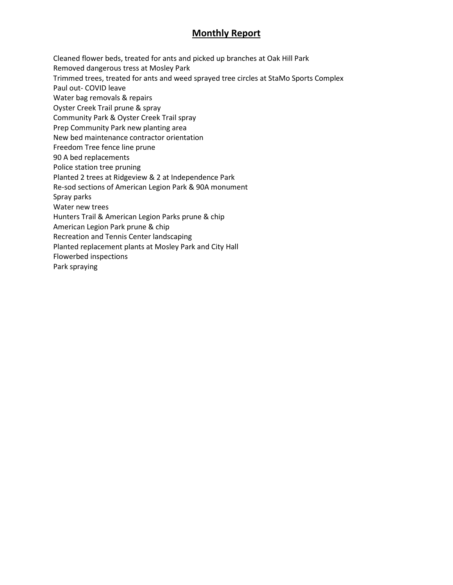## **Monthly Report**

Cleaned flower beds, treated for ants and picked up branches at Oak Hill Park Removed dangerous tress at Mosley Park Trimmed trees, treated for ants and weed sprayed tree circles at StaMo Sports Complex Paul out- COVID leave Water bag removals & repairs Oyster Creek Trail prune & spray Community Park & Oyster Creek Trail spray Prep Community Park new planting area New bed maintenance contractor orientation Freedom Tree fence line prune 90 A bed replacements Police station tree pruning Planted 2 trees at Ridgeview & 2 at Independence Park Re-sod sections of American Legion Park & 90A monument Spray parks Water new trees Hunters Trail & American Legion Parks prune & chip American Legion Park prune & chip Recreation and Tennis Center landscaping Planted replacement plants at Mosley Park and City Hall

Flowerbed inspections

Park spraying